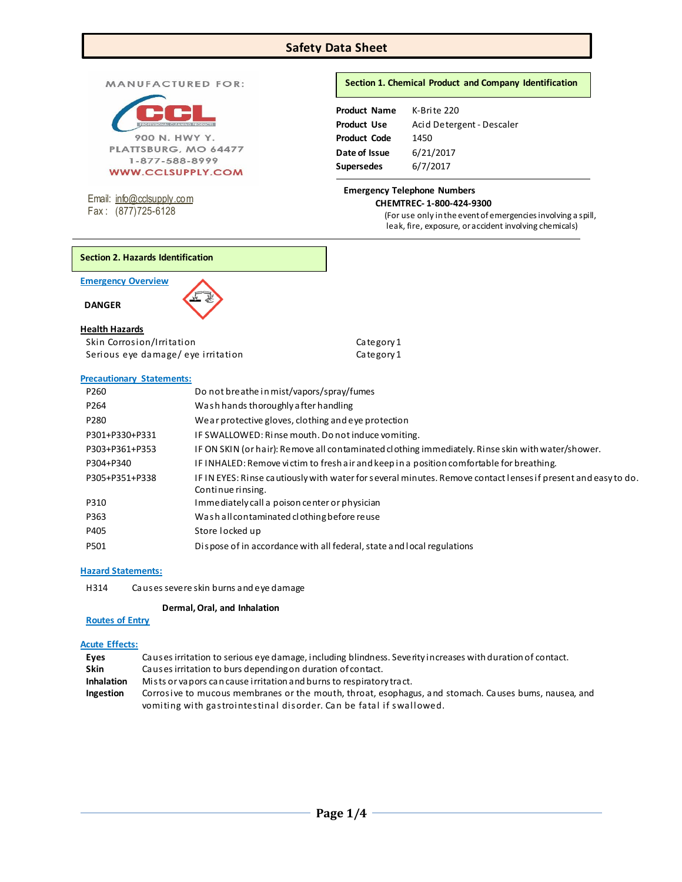# **Safety Data Sheet**

MANUFACTURED FOR:



1-877-588-8999 **WWW.CCLSUPPLY.COM** 

Email: [info@cclsupply.com](mailto:info@cclsupply.com) Fax : (877)725-6128

# **Section 1. Chemical Product and Company Identification**

| K-Brite 220               |
|---------------------------|
| Acid Detergent - Descaler |
| 1450                      |
| 6/21/2017                 |
| 6/7/2017                  |
|                           |

### **Emergency Telephone Numbers CHEMTREC- 1-800-424-9300**

(For use only in the event of emergencies involving a spill, leak, fire, exposure, or accident involving chemicals)

**Emergency Overview** 

 **DANGER** 

# **Health Hazards**

Skin Corrosion/Irritation Category 1 Serious eye damage/ eye irritation example and Category 1

### **Precautionary Statements:**

| P260             | Do not breathe in mist/vapors/spray/fumes                                                                                          |
|------------------|------------------------------------------------------------------------------------------------------------------------------------|
| P <sub>264</sub> | Wash hands thoroughly after handling                                                                                               |
| P280             | We ar protective gloves, clothing and eve protection                                                                               |
| P301+P330+P331   | IF SWALLOWED: Rinse mouth. Do not induce vomiting.                                                                                 |
| P303+P361+P353   | IF ON SKIN (or hair): Remove all contaminated clothing immediately. Rinse skin with water/shower.                                  |
| P304+P340        | IF INHALED: Remove victim to fresh air and keep in a position comfortable for breathing.                                           |
| P305+P351+P338   | IF IN EYES: Rinse cautiously with water for several minutes. Remove contact lenses if present and easy to do.<br>Continue rinsing. |
| P310             | Immediately call a poison center or physician                                                                                      |
| P363             | Washall contaminated clothing before reuse                                                                                         |
| P405             | Store locked up                                                                                                                    |
| P501             | Dispose of in accordance with all federal, state and local regulations                                                             |
|                  |                                                                                                                                    |

# **Hazard Statements:**

H314 Causes severe skin burns and eye damage

# **Dermal, Oral, and Inhalation**

# **Routes of Entry**

# **Acute Effects:**

| Eves              | Causes irritation to serious eye damage, including blindness. Severity increases with duration of contact. |
|-------------------|------------------------------------------------------------------------------------------------------------|
| <b>Skin</b>       | Causes irritation to burs depending on duration of contact.                                                |
| <b>Inhalation</b> | Mists or vapors can cause i rritation and burns to respiratory tract.                                      |
| <b>Ingestion</b>  | Corrosive to mucous membranes or the mouth, throat, esophagus, and stomach. Causes bums, nausea, and       |
|                   | vomiting with gastrointestinal disorder. Can be fatal if swallowed.                                        |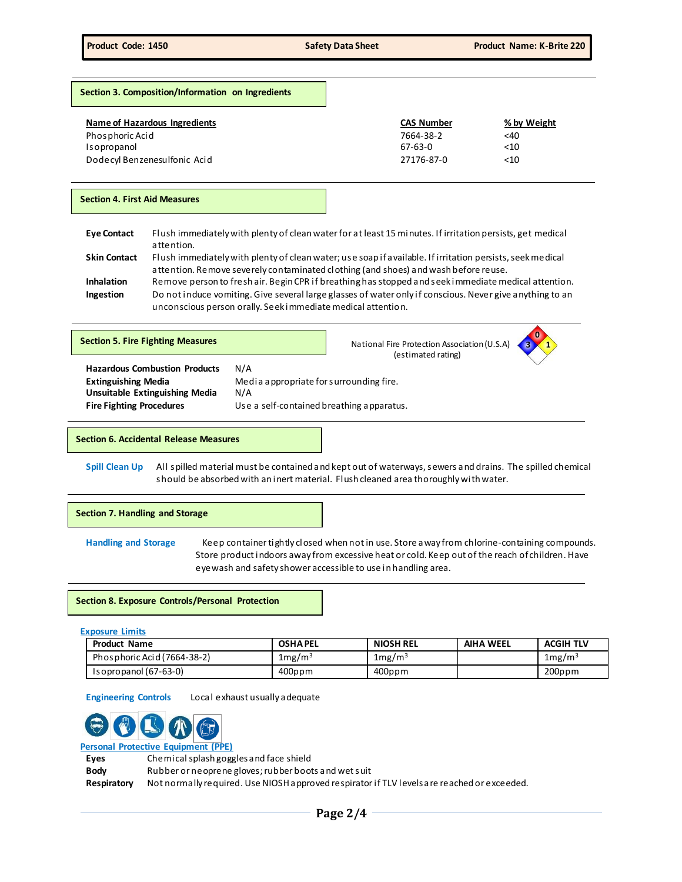**0**

# **Section 3. Composition/Information on Ingredients**

| Name of Hazardous Ingredients | <b>CAS Number</b> | % by Weight |
|-------------------------------|-------------------|-------------|
| Phosphoric Acid               | 7664-38-2         | $<$ 40      |
| Isopropanol                   | 67-63-0           | <10         |
| Dodecyl Benzenesulfonic Acid  | 27176-87-0        | <10         |

### **Section 4. First Aid Measures**

| <b>Eve Contact</b>  | Flush immediately with plenty of clean water for at least 15 minutes. If irritation persists, get medical  |
|---------------------|------------------------------------------------------------------------------------------------------------|
|                     | attention.                                                                                                 |
| <b>Skin Contact</b> | Flush immediately with plenty of clean water; use soap if a vailable. If irritation persists, seek medical |
|                     | attention. Remove severely contaminated clothing (and shoes) and wash before reuse.                        |
| <b>Inhalation</b>   | Remove person to fresh air. Begin CPR if breathing has stopped and seek immediate medical attention.       |

**Ingestion** Do not induce vomiting. Give several large glasses of water only if conscious. Never give anything to an unconscious person orally. Seek immediate medical attention.

| <b>Section 5. Fire Fighting Measures</b>                                                                                                       |                                                                                                    | National Fire Protection Association (U.S.A)<br>(estimated rating) | $\bf{0}$ |
|------------------------------------------------------------------------------------------------------------------------------------------------|----------------------------------------------------------------------------------------------------|--------------------------------------------------------------------|----------|
| <b>Hazardous Combustion Products</b><br><b>Extinguishing Media</b><br><b>Unsuitable Extinguishing Media</b><br><b>Fire Fighting Procedures</b> | N/A<br>Media appropriate for surrounding fire.<br>N/A<br>Use a self-contained breathing apparatus. |                                                                    |          |

**Section 6. Accidental Release Measures**

**Spill Clean Up** All spilled material must be contained and kept out of waterways, sewers and drains. The spilled chemical should be absorbed with an inert material. Flush cleaned area thoroughly with water.

## **Section 7. Handling and Storage**

**Handling and Storage** Keep container tightly closed when not in use. Store away from chlorine-containing compounds. Store product indoors away from excessive heat or cold. Keep out of the reach of children. Have eyewash and safety shower accessible to use in handling area.

#### **Section 8. Exposure Controls/Personal Protection**

**Exposure Limits**

| <b>Product Name</b>         | <b>OSHAPEL</b> | <b>NIOSH REL</b>   | <b>AIHA WEEL</b> | <b>ACGIH TLV</b>   |
|-----------------------------|----------------|--------------------|------------------|--------------------|
| Phosphoric Acid (7664-38-2) | $1$ mg/m $3$   | 1mg/m <sup>3</sup> |                  | 1mg/m <sup>3</sup> |
| $Isopropanol (67-63-0)$     | 400ppm         | 400ppm             |                  | $200$ ppm          |

**Engineering Controls** Local exhaust usually adequate



**Personal Protective Equipment (PPE)**

**Eyes** Chemical splash goggles and face shield

**Body** Rubber or neoprene gloves; rubber boots and wet suit

**Respiratory** Not normally required. Use NIOSH approved respirator if TLV levels are reached or exceeded.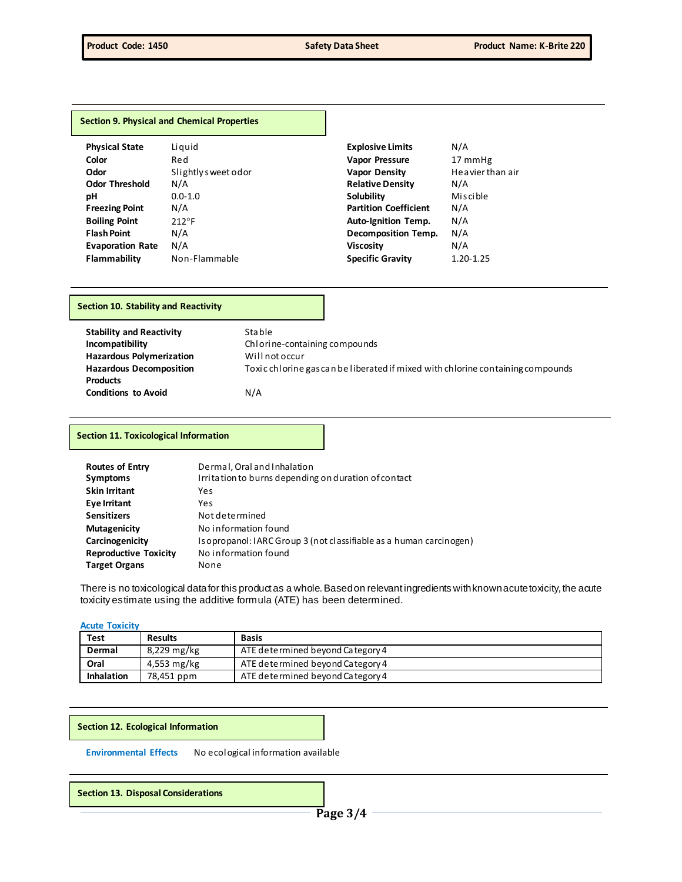#### **Section 9. Physical and Chemical Properties**

| <b>Physical State</b>   | Liquid              | <b>Explosive Limits</b>      | N/A              |
|-------------------------|---------------------|------------------------------|------------------|
| Color                   | Red                 | <b>Vapor Pressure</b>        | 17 mmHg          |
| Odor                    | Slightly sweet odor | <b>Vapor Density</b>         | Heavier than air |
| <b>Odor Threshold</b>   | N/A                 | <b>Relative Density</b>      | N/A              |
| рH                      | $0.0 - 1.0$         | Solubility                   | Miscible         |
| <b>Freezing Point</b>   | N/A                 | <b>Partition Coefficient</b> | N/A              |
| <b>Boiling Point</b>    | 212°F               | <b>Auto-Ignition Temp.</b>   | N/A              |
| <b>Flash Point</b>      | N/A                 | Decomposition Temp.          | N/A              |
| <b>Evaporation Rate</b> | N/A                 | <b>Viscosity</b>             | N/A              |
| <b>Flammability</b>     | Non-Flammable       | <b>Specific Gravity</b>      | $1.20 - 1.25$    |

### **Section 10. Stability and Reactivity**

**Stability and Reactivity** Stable **Hazardous Polymerization** Will not occur **Hazardous Decomposition Products Conditions to Avoid** N/A

**Incompatibility Chlorine-containing compounds** Toxic chlorine gas can be liberated if mixed with chlorine containing compounds

#### **Section 11. Toxicological Information**

| <b>Routes of Entry</b><br><b>Symptoms</b><br><b>Skin Irritant</b> | Dermal, Oral and Inhalation<br>Irritation to burns depending on duration of contact<br>Yes |
|-------------------------------------------------------------------|--------------------------------------------------------------------------------------------|
| <b>Eye Irritant</b>                                               | Yes                                                                                        |
| <b>Sensitizers</b>                                                | Not determined                                                                             |
| <b>Mutagenicity</b>                                               | No information found                                                                       |
| Carcinogenicity                                                   | Isopropanol: IARC Group 3 (not classifiable as a human carcinogen)                         |
| <b>Reproductive Toxicity</b>                                      | No information found                                                                       |
| <b>Target Organs</b>                                              | None                                                                                       |

There is no toxicological data for this product as a whole. Based on relevant ingredients with known acute toxicity, the acute toxicity estimate using the additive formula (ATE) has been determined.

#### **Acute Toxicity**

| Test              | <b>Results</b> | <b>Basis</b>                     |
|-------------------|----------------|----------------------------------|
| Dermal            | 8,229 mg/kg    | ATE determined beyond Category 4 |
| Oral              | 4,553 mg/kg    | ATE determined beyond Category 4 |
| <b>Inhalation</b> | 78,451 ppm     | ATE determined beyond Category 4 |

#### **Section 12. Ecological Information**

**Environmental Effects** No ecological information available

**Section 13. Disposal Considerations**